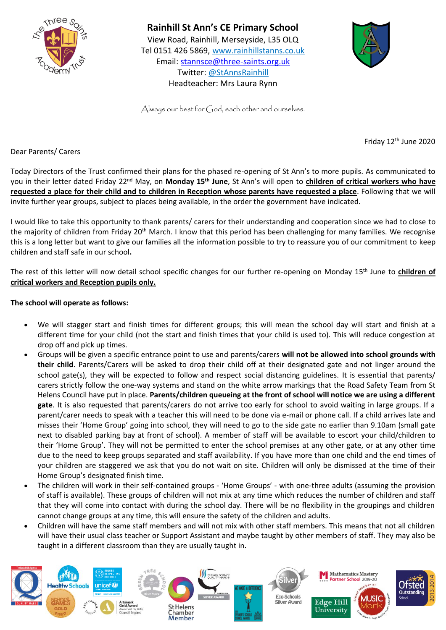



Always our best for  $G$ od, each other and ourselves.

Friday 12th June 2020

Dear Parents/ Carers

Today Directors of the Trust confirmed their plans for the phased re-opening of St Ann's to more pupils. As communicated to you in their letter dated Friday 22nd May, on **Monday 15th June**, St Ann's will open to **children of critical workers who have requested a place for their child and to children in Reception whose parents have requested a place**. Following that we will invite further year groups, subject to places being available, in the order the government have indicated.

I would like to take this opportunity to thank parents/ carers for their understanding and cooperation since we had to close to the majority of children from Friday 20<sup>th</sup> March. I know that this period has been challenging for many families. We recognise this is a long letter but want to give our families all the information possible to try to reassure you of our commitment to keep children and staff safe in our school**.**

The rest of this letter will now detail school specific changes for our further re-opening on Monday 15th June to **children of critical workers and Reception pupils only.** 

## **The school will operate as follows:**

- We will stagger start and finish times for different groups; this will mean the school day will start and finish at a different time for your child (not the start and finish times that your child is used to). This will reduce congestion at drop off and pick up times.
- Groups will be given a specific entrance point to use and parents/carers **will not be allowed into school grounds with their child**. Parents/Carers will be asked to drop their child off at their designated gate and not linger around the school gate(s), they will be expected to follow and respect social distancing guidelines. It is essential that parents/ carers strictly follow the one-way systems and stand on the white arrow markings that the Road Safety Team from St Helens Council have put in place. **Parents/children queueing at the front of school will notice we are using a different gate**. It is also requested that parents/carers do not arrive too early for school to avoid waiting in large groups. If a parent/carer needs to speak with a teacher this will need to be done via e-mail or phone call. If a child arrives late and misses their 'Home Group' going into school, they will need to go to the side gate no earlier than 9.10am (small gate next to disabled parking bay at front of school). A member of staff will be available to escort your child/children to their 'Home Group'. They will not be permitted to enter the school premises at any other gate, or at any other time due to the need to keep groups separated and staff availability. If you have more than one child and the end times of your children are staggered we ask that you do not wait on site. Children will only be dismissed at the time of their Home Group's designated finish time.
- The children will work in their self-contained groups 'Home Groups' with one-three adults (assuming the provision of staff is available). These groups of children will not mix at any time which reduces the number of children and staff that they will come into contact with during the school day. There will be no flexibility in the groupings and children cannot change groups at any time, this will ensure the safety of the children and adults.
- Children will have the same staff members and will not mix with other staff members. This means that not all children will have their usual class teacher or Support Assistant and maybe taught by other members of staff. They may also be taught in a different classroom than they are usually taught in.

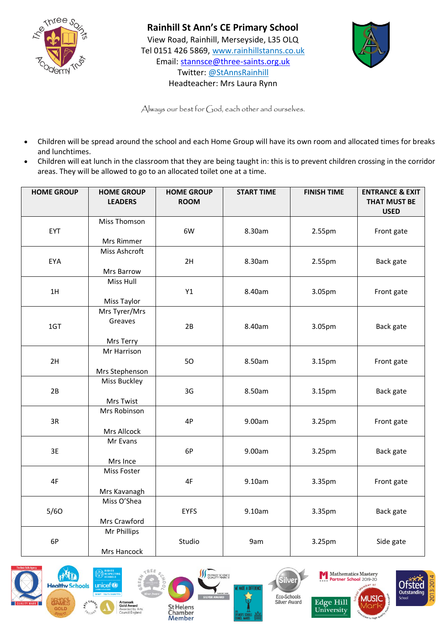



Always our best for God, each other and ourselves.

- Children will be spread around the school and each Home Group will have its own room and allocated times for breaks and lunchtimes.
- Children will eat lunch in the classroom that they are being taught in: this is to prevent children crossing in the corridor areas. They will be allowed to go to an allocated toilet one at a time.

| <b>HOME GROUP</b> | <b>HOME GROUP</b><br><b>LEADERS</b>   | <b>HOME GROUP</b><br><b>ROOM</b> | <b>START TIME</b> | <b>FINISH TIME</b> | <b>ENTRANCE &amp; EXIT</b><br><b>THAT MUST BE</b><br><b>USED</b> |
|-------------------|---------------------------------------|----------------------------------|-------------------|--------------------|------------------------------------------------------------------|
| EYT               | <b>Miss Thomson</b><br>Mrs Rimmer     | 6W                               | 8.30am            | 2.55pm             | Front gate                                                       |
| EYA               | Miss Ashcroft<br>Mrs Barrow           | 2H                               | 8.30am            | 2.55pm             | Back gate                                                        |
| 1H                | Miss Hull<br>Miss Taylor              | Y1                               | 8.40am            | 3.05pm             | Front gate                                                       |
| 1GT               | Mrs Tyrer/Mrs<br>Greaves<br>Mrs Terry | 2B                               | 8.40am            | 3.05pm             | Back gate                                                        |
| 2H                | Mr Harrison<br>Mrs Stephenson         | 50                               | 8.50am            | 3.15pm             | Front gate                                                       |
| 2B                | Miss Buckley<br>Mrs Twist             | 3G                               | 8.50am            | 3.15pm             | Back gate                                                        |
| 3R                | Mrs Robinson<br>Mrs Allcock           | 4P                               | 9.00am            | 3.25pm             | Front gate                                                       |
| 3E                | Mr Evans<br>Mrs Ince                  | 6P                               | 9.00am            | 3.25pm             | Back gate                                                        |
| 4F                | Miss Foster<br>Mrs Kavanagh           | 4F                               | 9.10am            | 3.35pm             | Front gate                                                       |
| 5/60              | Miss O'Shea<br>Mrs Crawford           | <b>EYFS</b>                      | 9.10am            | 3.35pm             | Back gate                                                        |
| 6P                | Mr Phillips<br>Mrs Hancock            | Studio                           | 9am               | 3.25pm             | Side gate                                                        |











**Edge Hill** 

University

MUS.

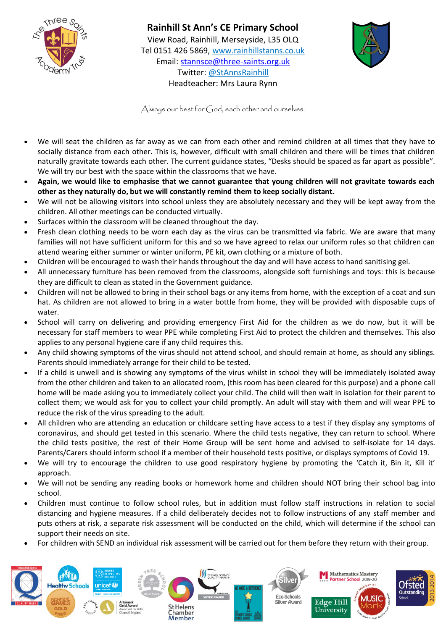

## **Rainhill St Ann's CE Primary School**  View Road, Rainhill, Merseyside, L35 OLQ Tel 0151 426 5869, [www.rainhillstanns.co.uk](http://www.rainhillstanns.co.uk/) Email: [stannsce@three-saints.org.uk](mailto:stannsce@three-saints.org.uk)



Always our best for  $\zeta_1$  od, each other and ourselves.

Twitter: @StAnnsRainhill Headteacher: Mrs Laura Rynn

- We will seat the children as far away as we can from each other and remind children at all times that they have to socially distance from each other. This is, however, difficult with small children and there will be times that children naturally gravitate towards each other. The current guidance states, "Desks should be spaced as far apart as possible". We will try our best with the space within the classrooms that we have.
- **Again, we would like to emphasise that we cannot guarantee that young children will not gravitate towards each other as they naturally do, but we will constantly remind them to keep socially distant.**
- We will not be allowing visitors into school unless they are absolutely necessary and they will be kept away from the children. All other meetings can be conducted virtually.
- Surfaces within the classroom will be cleaned throughout the day.
- Fresh clean clothing needs to be worn each day as the virus can be transmitted via fabric. We are aware that many families will not have sufficient uniform for this and so we have agreed to relax our uniform rules so that children can attend wearing either summer or winter uniform, PE kit, own clothing or a mixture of both.
- Children will be encouraged to wash their hands throughout the day and will have access to hand sanitising gel.
- All unnecessary furniture has been removed from the classrooms, alongside soft furnishings and toys: this is because they are difficult to clean as stated in the Government guidance.
- Children will not be allowed to bring in their school bags or any items from home, with the exception of a coat and sun hat. As children are not allowed to bring in a water bottle from home, they will be provided with disposable cups of water.
- School will carry on delivering and providing emergency First Aid for the children as we do now, but it will be necessary for staff members to wear PPE while completing First Aid to protect the children and themselves. This also applies to any personal hygiene care if any child requires this.
- Any child showing symptoms of the virus should not attend school, and should remain at home, as should any siblings. Parents should immediately arrange for their child to be tested.
- If a child is unwell and is showing any symptoms of the virus whilst in school they will be immediately isolated away from the other children and taken to an allocated room, (this room has been cleared for this purpose) and a phone call home will be made asking you to immediately collect your child. The child will then wait in isolation for their parent to collect them; we would ask for you to collect your child promptly. An adult will stay with them and will wear PPE to reduce the risk of the virus spreading to the adult.
- All children who are attending an education or childcare setting have access to a test if they display any symptoms of coronavirus, and should get tested in this scenario. Where the child tests negative, they can return to school. Where the child tests positive, the rest of their Home Group will be sent home and advised to self-isolate for 14 days. Parents/Carers should inform school if a member of their household tests positive, or displays symptoms of Covid 19.
- We will try to encourage the children to use good respiratory hygiene by promoting the 'Catch it, Bin it, Kill it' approach.
- We will not be sending any reading books or homework home and children should NOT bring their school bag into school.
- Children must continue to follow school rules, but in addition must follow staff instructions in relation to social distancing and hygiene measures. If a child deliberately decides not to follow instructions of any staff member and puts others at risk, a separate risk assessment will be conducted on the child, which will determine if the school can support their needs on site.
- For children with SEND an individual risk assessment will be carried out for them before they return with their group.

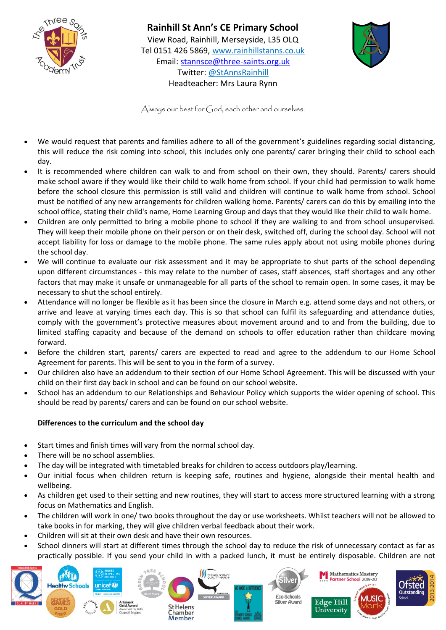



Always our best for  $\zeta_1$  od, each other and ourselves.

- We would request that parents and families adhere to all of the government's guidelines regarding social distancing, this will reduce the risk coming into school, this includes only one parents/ carer bringing their child to school each day.
- It is recommended where children can walk to and from school on their own, they should. Parents/ carers should make school aware if they would like their child to walk home from school. If your child had permission to walk home before the school closure this permission is still valid and children will continue to walk home from school. School must be notified of any new arrangements for children walking home. Parents/ carers can do this by emailing into the school office, stating their child's name, Home Learning Group and days that they would like their child to walk home.
- Children are only permitted to bring a mobile phone to school if they are walking to and from school unsupervised. They will keep their mobile phone on their person or on their desk, switched off, during the school day. School will not accept liability for loss or damage to the mobile phone. The same rules apply about not using mobile phones during the school day.
- We will continue to evaluate our risk assessment and it may be appropriate to shut parts of the school depending upon different circumstances - this may relate to the number of cases, staff absences, staff shortages and any other factors that may make it unsafe or unmanageable for all parts of the school to remain open. In some cases, it may be necessary to shut the school entirely.
- Attendance will no longer be flexible as it has been since the closure in March e.g. attend some days and not others, or arrive and leave at varying times each day. This is so that school can fulfil its safeguarding and attendance duties, comply with the government's protective measures about movement around and to and from the building, due to limited staffing capacity and because of the demand on schools to offer education rather than childcare moving forward.
- Before the children start, parents/ carers are expected to read and agree to the addendum to our Home School Agreement for parents. This will be sent to you in the form of a survey.
- Our children also have an addendum to their section of our Home School Agreement. This will be discussed with your child on their first day back in school and can be found on our school website.
- School has an addendum to our Relationships and Behaviour Policy which supports the wider opening of school. This should be read by parents/ carers and can be found on our school website.

## **Differences to the curriculum and the school day**

- Start times and finish times will vary from the normal school day.
- There will be no school assemblies.
- The day will be integrated with timetabled breaks for children to access outdoors play/learning.
- Our initial focus when children return is keeping safe, routines and hygiene, alongside their mental health and wellbeing.
- As children get used to their setting and new routines, they will start to access more structured learning with a strong focus on Mathematics and English.
- The children will work in one/ two books throughout the day or use worksheets. Whilst teachers will not be allowed to take books in for marking, they will give children verbal feedback about their work.
- Children will sit at their own desk and have their own resources.
- School dinners will start at different times through the school day to reduce the risk of unnecessary contact as far as practically possible. If you send your child in with a packed lunch, it must be entirely disposable. Children are not